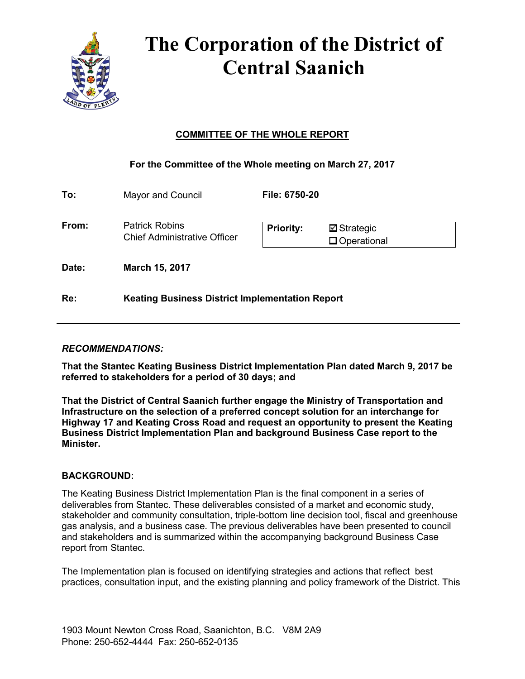

# **The Corporation of the District of Central Saanich**

# **COMMITTEE OF THE WHOLE REPORT**

## **For the Committee of the Whole meeting on March 27, 2017**

| To:   | Mayor and Council                                            | <b>File: 6750-20</b> |                                      |
|-------|--------------------------------------------------------------|----------------------|--------------------------------------|
| From: | <b>Patrick Robins</b><br><b>Chief Administrative Officer</b> | <b>Priority:</b>     | $\boxdot$ Strategic<br>□ Operational |
| Date: | March 15, 2017                                               |                      |                                      |
| Re:   | <b>Keating Business District Implementation Report</b>       |                      |                                      |

## *RECOMMENDATIONS:*

**That the Stantec Keating Business District Implementation Plan dated March 9, 2017 be referred to stakeholders for a period of 30 days; and**

**That the District of Central Saanich further engage the Ministry of Transportation and Infrastructure on the selection of a preferred concept solution for an interchange for Highway 17 and Keating Cross Road and request an opportunity to present the Keating Business District Implementation Plan and background Business Case report to the Minister.**

## **BACKGROUND:**

The Keating Business District Implementation Plan is the final component in a series of deliverables from Stantec. These deliverables consisted of a market and economic study, stakeholder and community consultation, triple-bottom line decision tool, fiscal and greenhouse gas analysis, and a business case. The previous deliverables have been presented to council and stakeholders and is summarized within the accompanying background Business Case report from Stantec.

The Implementation plan is focused on identifying strategies and actions that reflect best practices, consultation input, and the existing planning and policy framework of the District. This